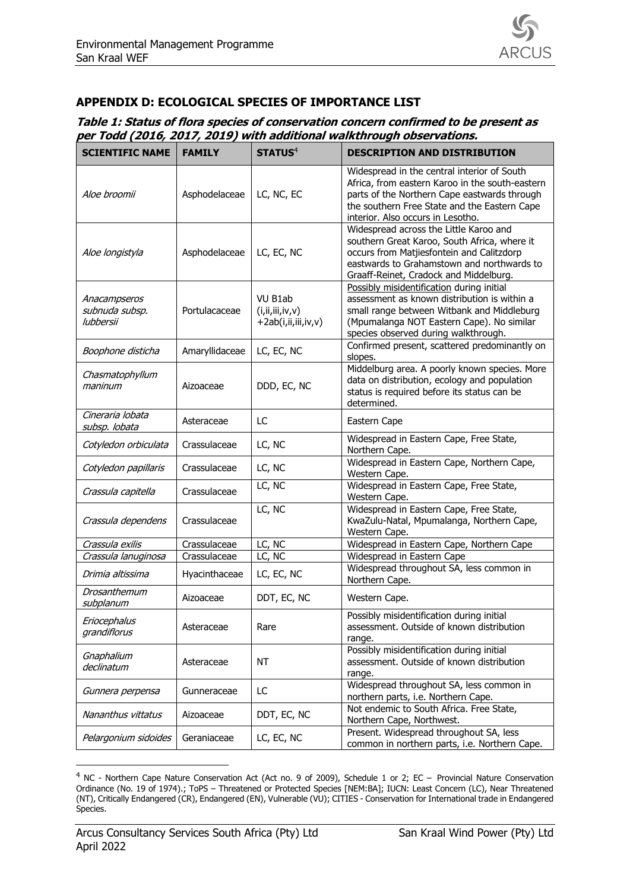

## **APPENDIX D: ECOLOGICAL SPECIES OF IMPORTANCE LIST**

## **Table 1: Status of flora species of conservation concern confirmed to be present as per Todd (2016, 2017, 2019) with additional walkthrough observations.**

| <b>SCIENTIFIC NAME</b>                      | <b>FAMILY</b>  | <b>STATUS<sup>4</sup></b>                             | <b>DESCRIPTION AND DISTRIBUTION</b>                                                                                                                                                                                                 |
|---------------------------------------------|----------------|-------------------------------------------------------|-------------------------------------------------------------------------------------------------------------------------------------------------------------------------------------------------------------------------------------|
| Aloe broomii                                | Asphodelaceae  | LC, NC, EC                                            | Widespread in the central interior of South<br>Africa, from eastern Karoo in the south-eastern<br>parts of the Northern Cape eastwards through<br>the southern Free State and the Eastern Cape<br>interior. Also occurs in Lesotho. |
| Aloe longistyla                             | Asphodelaceae  | LC, EC, NC                                            | Widespread across the Little Karoo and<br>southern Great Karoo, South Africa, where it<br>occurs from Matjiesfontein and Calitzdorp<br>eastwards to Grahamstown and northwards to<br>Graaff-Reinet, Cradock and Middelburg.         |
| Anacampseros<br>subnuda subsp.<br>lubbersii | Portulacaceae  | VU B1ab<br>(i, ii, iii, iv, v)<br>+2ab(i,ii,iii,iv,v) | Possibly misidentification during initial<br>assessment as known distribution is within a<br>small range between Witbank and Middleburg<br>(Mpumalanga NOT Eastern Cape). No similar<br>species observed during walkthrough.        |
| Boophone disticha                           | Amaryllidaceae | LC, EC, NC                                            | Confirmed present, scattered predominantly on<br>slopes.                                                                                                                                                                            |
| Chasmatophyllum<br>maninum                  | Aizoaceae      | DDD, EC, NC                                           | Middelburg area. A poorly known species. More<br>data on distribution, ecology and population<br>status is required before its status can be<br>determined.                                                                         |
| Cineraria lobata<br>subsp. lobata           | Asteraceae     | LC                                                    | Eastern Cape                                                                                                                                                                                                                        |
| Cotyledon orbiculata                        | Crassulaceae   | LC, NC                                                | Widespread in Eastern Cape, Free State,<br>Northern Cape.                                                                                                                                                                           |
| Cotyledon papillaris                        | Crassulaceae   | LC, NC                                                | Widespread in Eastern Cape, Northern Cape,<br>Western Cape.                                                                                                                                                                         |
| Crassula capitella                          | Crassulaceae   | LC, NC                                                | Widespread in Eastern Cape, Free State,<br>Western Cape.                                                                                                                                                                            |
| Crassula dependens                          | Crassulaceae   | LC, NC                                                | Widespread in Eastern Cape, Free State,<br>KwaZulu-Natal, Mpumalanga, Northern Cape,<br>Western Cape.                                                                                                                               |
| Crassula exilis                             | Crassulaceae   | LC, NC                                                | Widespread in Eastern Cape, Northern Cape                                                                                                                                                                                           |
| Crassula lanuginosa                         | Crassulaceae   | LC, NC                                                | Widespread in Eastern Cape                                                                                                                                                                                                          |
| Drimia altissima                            | Hyacinthaceae  | LC, EC, NC                                            | Widespread throughout SA, less common in<br>Northern Cape.                                                                                                                                                                          |
| Drosanthemum<br>subplanum                   | Aizoaceae      | DDT, EC, NC                                           | Western Cape.                                                                                                                                                                                                                       |
| Eriocephalus<br>grandiflorus                | Asteraceae     | Rare                                                  | Possibly misidentification during initial<br>assessment. Outside of known distribution<br>range.                                                                                                                                    |
| Gnaphalium<br>declinatum                    | Asteraceae     | NT                                                    | Possibly misidentification during initial<br>assessment. Outside of known distribution<br>range.                                                                                                                                    |
| Gunnera perpensa                            | Gunneraceae    | LC                                                    | Widespread throughout SA, less common in<br>northern parts, i.e. Northern Cape.                                                                                                                                                     |
| Nananthus vittatus                          | Aizoaceae      | DDT, EC, NC                                           | Not endemic to South Africa. Free State,<br>Northern Cape, Northwest.                                                                                                                                                               |
| Pelargonium sidoides                        | Geraniaceae    | LC, EC, NC                                            | Present. Widespread throughout SA, less<br>common in northern parts, i.e. Northern Cape.                                                                                                                                            |

<sup>4</sup> NC - Northern Cape Nature Conservation Act (Act no. 9 of 2009), Schedule 1 or 2; EC – Provincial Nature Conservation Ordinance (No. 19 of 1974).; ToPS – Threatened or Protected Species [NEM:BA]; IUCN: Least Concern (LC), Near Threatened (NT), Critically Endangered (CR), Endangered (EN), Vulnerable (VU); CITIES - Conservation for International trade in Endangered Species.

-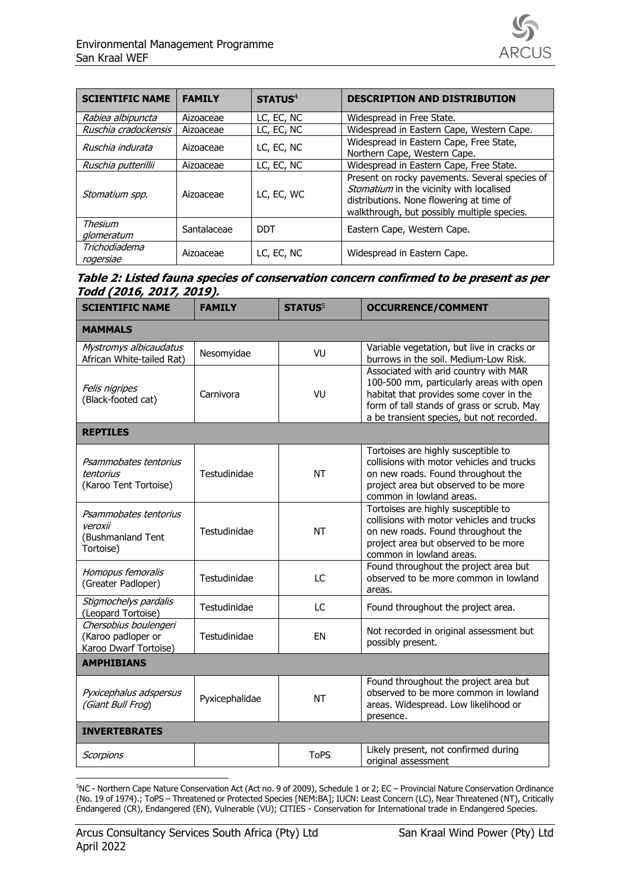| <b>SCIENTIFIC NAME</b>     | <b>FAMILY</b> | STATUS <sup>4</sup> | <b>DESCRIPTION AND DISTRIBUTION</b>                                                                                                                                                   |
|----------------------------|---------------|---------------------|---------------------------------------------------------------------------------------------------------------------------------------------------------------------------------------|
| Rabiea albipuncta          | Aizoaceae     | LC, EC, NC          | Widespread in Free State.                                                                                                                                                             |
| Ruschia cradockensis       | Aizoaceae     | LC, EC, NC          | Widespread in Eastern Cape, Western Cape.                                                                                                                                             |
| Ruschia indurata           | Aizoaceae     | LC, EC, NC          | Widespread in Eastern Cape, Free State,<br>Northern Cape, Western Cape.                                                                                                               |
| Ruschia putterillii        | Aizoaceae     | LC, EC, NC          | Widespread in Eastern Cape, Free State.                                                                                                                                               |
| Stomatium spp.             | Aizoaceae     | LC, EC, WC          | Present on rocky pavements. Several species of<br>Stomatium in the vicinity with localised<br>distributions. None flowering at time of<br>walkthrough, but possibly multiple species. |
| Thesium<br>glomeratum      | Santalaceae   | DDT                 | Eastern Cape, Western Cape.                                                                                                                                                           |
| Trichodiadema<br>rogersiae | Aizoaceae     | LC, EC, NC          | Widespread in Eastern Cape.                                                                                                                                                           |

## **Table 2: Listed fauna species of conservation concern confirmed to be present as per Todd (2016, 2017, 2019).**

| <b>SCIENTIFIC NAME</b>                                               | <b>FAMILY</b>  | <b>STATUS</b> <sup>5</sup> | <b>OCCURRENCE/COMMENT</b>                                                                                                                                                                                               |  |  |  |
|----------------------------------------------------------------------|----------------|----------------------------|-------------------------------------------------------------------------------------------------------------------------------------------------------------------------------------------------------------------------|--|--|--|
| <b>MAMMALS</b>                                                       |                |                            |                                                                                                                                                                                                                         |  |  |  |
| Mystromys albicaudatus<br>African White-tailed Rat)                  | Nesomyidae     | VU                         | Variable vegetation, but live in cracks or<br>burrows in the soil. Medium-Low Risk.                                                                                                                                     |  |  |  |
| Felis nigripes<br>(Black-footed cat)                                 | Carnivora      | VU                         | Associated with arid country with MAR<br>100-500 mm, particularly areas with open<br>habitat that provides some cover in the<br>form of tall stands of grass or scrub. May<br>a be transient species, but not recorded. |  |  |  |
| <b>REPTILES</b>                                                      |                |                            |                                                                                                                                                                                                                         |  |  |  |
| Psammobates tentorius<br>tentorius<br>(Karoo Tent Tortoise)          | Testudinidae   | <b>NT</b>                  | Tortoises are highly susceptible to<br>collisions with motor vehicles and trucks<br>on new roads. Found throughout the<br>project area but observed to be more<br>common in lowland areas.                              |  |  |  |
| Psammobates tentorius<br>veroxii<br>(Bushmanland Tent<br>Tortoise)   | Testudinidae   | <b>NT</b>                  | Tortoises are highly susceptible to<br>collisions with motor vehicles and trucks<br>on new roads. Found throughout the<br>project area but observed to be more<br>common in lowland areas.                              |  |  |  |
| Homopus femoralis<br>(Greater Padloper)                              | Testudinidae   | LC                         | Found throughout the project area but<br>observed to be more common in lowland<br>areas.                                                                                                                                |  |  |  |
| Stigmochelys pardalis<br>(Leopard Tortoise)                          | Testudinidae   | LC                         | Found throughout the project area.                                                                                                                                                                                      |  |  |  |
| Chersobius boulengeri<br>(Karoo padloper or<br>Karoo Dwarf Tortoise) | Testudinidae   | EN                         | Not recorded in original assessment but<br>possibly present.                                                                                                                                                            |  |  |  |
| <b>AMPHIBIANS</b>                                                    |                |                            |                                                                                                                                                                                                                         |  |  |  |
| Pyxicephalus adspersus<br>(Giant Bull Frog)                          | Pyxicephalidae | <b>NT</b>                  | Found throughout the project area but<br>observed to be more common in lowland<br>areas. Widespread. Low likelihood or<br>presence.                                                                                     |  |  |  |
| <b>INVERTEBRATES</b>                                                 |                |                            |                                                                                                                                                                                                                         |  |  |  |
| <b>Scorpions</b>                                                     |                | <b>ToPS</b>                | Likely present, not confirmed during<br>original assessment                                                                                                                                                             |  |  |  |

-<sup>5</sup>NC - Northern Cape Nature Conservation Act (Act no. 9 of 2009), Schedule 1 or 2; EC – Provincial Nature Conservation Ordinance (No. 19 of 1974).; ToPS – Threatened or Protected Species [NEM:BA]; IUCN: Least Concern (LC), Near Threatened (NT), Critically Endangered (CR), Endangered (EN), Vulnerable (VU); CITIES - Conservation for International trade in Endangered Species.